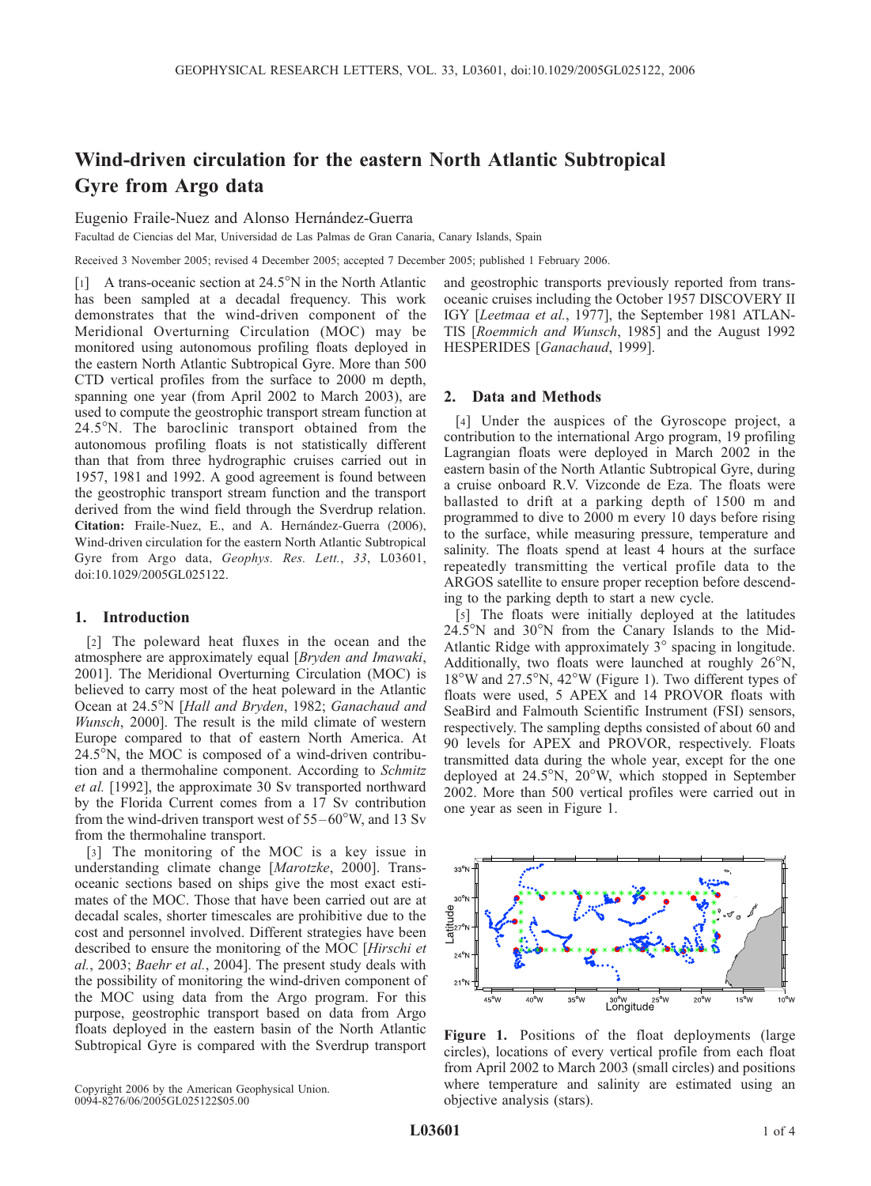# Wind-driven circulation for the eastern North Atlantic Subtropical Gyre from Argo data

### Eugenio Fraile-Nuez and Alonso Hernández-Guerra

Facultad de Ciencias del Mar, Universidad de Las Palmas de Gran Canaria, Canary Islands, Spain

Received 3 November 2005; revised 4 December 2005; accepted 7 December 2005; published 1 February 2006.

[1] A trans-oceanic section at  $24.5^{\circ}$ N in the North Atlantic has been sampled at a decadal frequency. This work demonstrates that the wind-driven component of the Meridional Overturning Circulation (MOC) may be monitored using autonomous profiling floats deployed in the eastern North Atlantic Subtropical Gyre. More than 500 CTD vertical profiles from the surface to 2000 m depth, spanning one year (from April 2002 to March 2003), are used to compute the geostrophic transport stream function at 24.5°N. The baroclinic transport obtained from the autonomous profiling floats is not statistically different than that from three hydrographic cruises carried out in 1957, 1981 and 1992. A good agreement is found between the geostrophic transport stream function and the transport derived from the wind field through the Sverdrup relation. Citation: Fraile-Nuez, E., and A. Hernández-Guerra (2006), Wind-driven circulation for the eastern North Atlantic Subtropical Gyre from Argo data, Geophys. Res. Lett., 33, L03601, doi:10.1029/2005GL025122.

#### 1. Introduction

[2] The poleward heat fluxes in the ocean and the atmosphere are approximately equal [Bryden and Imawaki, 2001]. The Meridional Overturning Circulation (MOC) is believed to carry most of the heat poleward in the Atlantic Ocean at 24.5°N [Hall and Bryden, 1982; Ganachaud and Wunsch, 2000]. The result is the mild climate of western Europe compared to that of eastern North America. At  $24.5^{\circ}$ N, the MOC is composed of a wind-driven contribution and a thermohaline component. According to Schmitz et al. [1992], the approximate 30 Sv transported northward by the Florida Current comes from a 17 Sv contribution from the wind-driven transport west of  $55-60^{\circ}$ W, and 13 Sv from the thermohaline transport.

[3] The monitoring of the MOC is a key issue in understanding climate change [Marotzke, 2000]. Transoceanic sections based on ships give the most exact estimates of the MOC. Those that have been carried out are at decadal scales, shorter timescales are prohibitive due to the cost and personnel involved. Different strategies have been described to ensure the monitoring of the MOC [Hirschi et al., 2003; Baehr et al., 2004]. The present study deals with the possibility of monitoring the wind-driven component of the MOC using data from the Argo program. For this purpose, geostrophic transport based on data from Argo floats deployed in the eastern basin of the North Atlantic Subtropical Gyre is compared with the Sverdrup transport

Copyright 2006 by the American Geophysical Union. 0094-8276/06/2005GL025122\$05.00

and geostrophic transports previously reported from transoceanic cruises including the October 1957 DISCOVERY II IGY [Leetmaa et al., 1977], the September 1981 ATLAN-TIS [Roemmich and Wunsch, 1985] and the August 1992 HESPERIDES [Ganachaud, 1999].

#### 2. Data and Methods

[4] Under the auspices of the Gyroscope project, a contribution to the international Argo program, 19 profiling Lagrangian floats were deployed in March 2002 in the eastern basin of the North Atlantic Subtropical Gyre, during a cruise onboard R.V. Vizconde de Eza. The floats were ballasted to drift at a parking depth of 1500 m and programmed to dive to 2000 m every 10 days before rising to the surface, while measuring pressure, temperature and salinity. The floats spend at least 4 hours at the surface repeatedly transmitting the vertical profile data to the ARGOS satellite to ensure proper reception before descending to the parking depth to start a new cycle.

[5] The floats were initially deployed at the latitudes  $24.5^{\circ}$ N and  $30^{\circ}$ N from the Canary Islands to the Mid-Atlantic Ridge with approximately  $3^{\circ}$  spacing in longitude. Additionally, two floats were launched at roughly  $26^{\circ}$ N, 18°W and 27.5°N, 42°W (Figure 1). Two different types of floats were used, 5 APEX and 14 PROVOR floats with SeaBird and Falmouth Scientific Instrument (FSI) sensors, respectively. The sampling depths consisted of about 60 and 90 levels for APEX and PROVOR, respectively. Floats transmitted data during the whole year, except for the one deployed at  $24.5^{\circ}$ N,  $20^{\circ}$ W, which stopped in September 2002. More than 500 vertical profiles were carried out in one year as seen in Figure 1.



Figure 1. Positions of the float deployments (large circles), locations of every vertical profile from each float from April 2002 to March 2003 (small circles) and positions where temperature and salinity are estimated using an objective analysis (stars).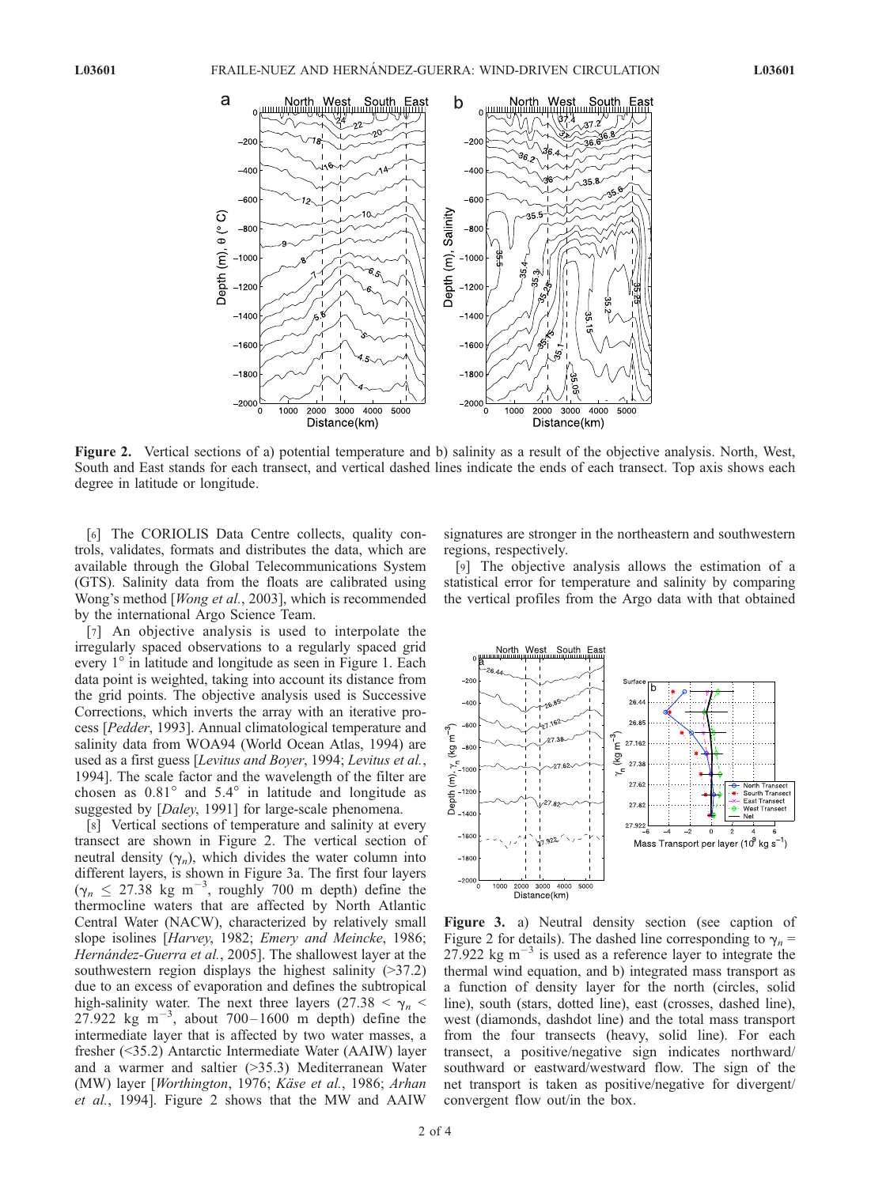

Figure 2. Vertical sections of a) potential temperature and b) salinity as a result of the objective analysis. North, West, South and East stands for each transect, and vertical dashed lines indicate the ends of each transect. Top axis shows each degree in latitude or longitude.

[6] The CORIOLIS Data Centre collects, quality controls, validates, formats and distributes the data, which are available through the Global Telecommunications System (GTS). Salinity data from the floats are calibrated using Wong's method [Wong et al., 2003], which is recommended by the international Argo Science Team.

[7] An objective analysis is used to interpolate the irregularly spaced observations to a regularly spaced grid every  $1^\circ$  in latitude and longitude as seen in Figure 1. Each data point is weighted, taking into account its distance from the grid points. The objective analysis used is Successive Corrections, which inverts the array with an iterative process [Pedder, 1993]. Annual climatological temperature and salinity data from WOA94 (World Ocean Atlas, 1994) are used as a first guess [Levitus and Boyer, 1994; Levitus et al., 1994]. The scale factor and the wavelength of the filter are chosen as  $0.81^\circ$  and  $5.4^\circ$  in latitude and longitude as suggested by [Daley, 1991] for large-scale phenomena.

[8] Vertical sections of temperature and salinity at every transect are shown in Figure 2. The vertical section of neutral density  $(\gamma_n)$ , which divides the water column into different layers, is shown in Figure 3a. The first four layers  $(\gamma_n \le 27.38 \text{ kg m}^{-3}, \text{ roughly } 700 \text{ m depth})$  define the thermocline waters that are affected by North Atlantic Central Water (NACW), characterized by relatively small slope isolines [Harvey, 1982; Emery and Meincke, 1986; Hernández-Guerra et al., 2005]. The shallowest layer at the southwestern region displays the highest salinity (>37.2) due to an excess of evaporation and defines the subtropical high-salinity water. The next three layers (27.38  $\lt \gamma_n \lt \gamma_n$ 27.922 kg m<sup>-3</sup>, about 700-1600 m depth) define the intermediate layer that is affected by two water masses, a fresher (<35.2) Antarctic Intermediate Water (AAIW) layer and a warmer and saltier (>35.3) Mediterranean Water (MW) layer [Worthington, 1976; Käse et al., 1986; Arhan et al., 1994]. Figure 2 shows that the MW and AAIW

signatures are stronger in the northeastern and southwestern regions, respectively.

[9] The objective analysis allows the estimation of a statistical error for temperature and salinity by comparing the vertical profiles from the Argo data with that obtained



Figure 3. a) Neutral density section (see caption of Figure 2 for details). The dashed line corresponding to  $\gamma_n =$ 27.922 kg  $\text{m}^{-3}$  is used as a reference layer to integrate the thermal wind equation, and b) integrated mass transport as a function of density layer for the north (circles, solid line), south (stars, dotted line), east (crosses, dashed line), west (diamonds, dashdot line) and the total mass transport from the four transects (heavy, solid line). For each transect, a positive/negative sign indicates northward/ southward or eastward/westward flow. The sign of the net transport is taken as positive/negative for divergent/ convergent flow out/in the box.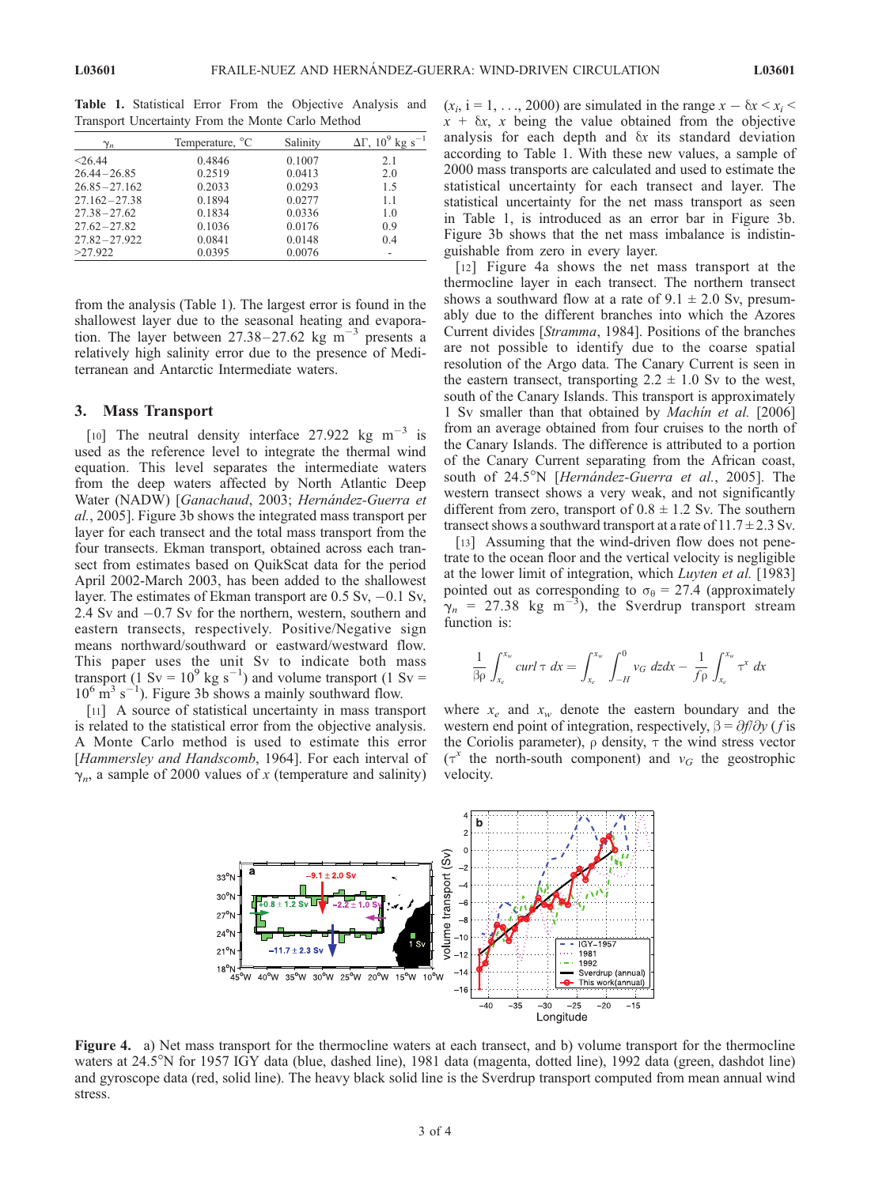| $\gamma_n$       | Temperature, <sup>o</sup> C | Salinity | $\Delta\Gamma$ , 10 <sup>9</sup> kg s <sup>-1</sup> |
|------------------|-----------------------------|----------|-----------------------------------------------------|
| < 26.44          | 0.4846                      | 0.1007   | 2.1                                                 |
| $26.44 - 26.85$  | 0.2519                      | 0.0413   | 2.0                                                 |
| $26.85 - 27.162$ | 0.2033                      | 0.0293   | 1.5                                                 |
| $27.162 - 27.38$ | 0.1894                      | 0.0277   | 1.1                                                 |
| $27.38 - 27.62$  | 0.1834                      | 0.0336   | 1.0                                                 |
| $27.62 - 27.82$  | 0.1036                      | 0.0176   | 0.9                                                 |
| $27.82 - 27.922$ | 0.0841                      | 0.0148   | 0.4                                                 |
| >27.922          | 0.0395                      | 0.0076   |                                                     |

Table 1. Statistical Error From the Objective Analysis and Transport Uncertainty From the Monte Carlo Method

from the analysis (Table 1). The largest error is found in the shallowest layer due to the seasonal heating and evaporation. The layer between  $27.38 - 27.62$  kg m<sup>-3</sup> presents a relatively high salinity error due to the presence of Mediterranean and Antarctic Intermediate waters.

## 3. Mass Transport

[10] The neutral density interface 27.922 kg  $m^{-3}$  is used as the reference level to integrate the thermal wind equation. This level separates the intermediate waters from the deep waters affected by North Atlantic Deep Water (NADW) [Ganachaud, 2003; Hernández-Guerra et al., 2005]. Figure 3b shows the integrated mass transport per layer for each transect and the total mass transport from the four transects. Ekman transport, obtained across each transect from estimates based on QuikScat data for the period April 2002-March 2003, has been added to the shallowest layer. The estimates of Ekman transport are 0.5 Sv, -0.1 Sv, 2.4 Sv and -0.7 Sv for the northern, western, southern and eastern transects, respectively. Positive/Negative sign means northward/southward or eastward/westward flow. This paper uses the unit Sv to indicate both mass transport (1 Sv =  $10^9$  kg s<sup>-1</sup>) and volume transport (1 Sv =  $10^6$  m<sup>3</sup> s<sup>-1</sup>). Figure 3b shows a mainly southward flow.

[11] A source of statistical uncertainty in mass transport is related to the statistical error from the objective analysis. A Monte Carlo method is used to estimate this error [Hammersley and Handscomb, 1964]. For each interval of  $\gamma_n$ , a sample of 2000 values of x (temperature and salinity)

 $(x_i, i = 1, \ldots, 2000)$  are simulated in the range  $x - \delta x \le x_i$  $x + \delta x$ , x being the value obtained from the objective analysis for each depth and  $\delta x$  its standard deviation according to Table 1. With these new values, a sample of 2000 mass transports are calculated and used to estimate the statistical uncertainty for each transect and layer. The statistical uncertainty for the net mass transport as seen in Table 1, is introduced as an error bar in Figure 3b. Figure 3b shows that the net mass imbalance is indistinguishable from zero in every layer.

[12] Figure 4a shows the net mass transport at the thermocline layer in each transect. The northern transect shows a southward flow at a rate of  $9.1 \pm 2.0$  Sv, presumably due to the different branches into which the Azores Current divides [Stramma, 1984]. Positions of the branches are not possible to identify due to the coarse spatial resolution of the Argo data. The Canary Current is seen in the eastern transect, transporting  $2.2 \pm 1.0$  Sv to the west, south of the Canary Islands. This transport is approximately 1 Sv smaller than that obtained by Machin et al. [2006] from an average obtained from four cruises to the north of the Canary Islands. The difference is attributed to a portion of the Canary Current separating from the African coast, south of 24.5<sup>o</sup>N [*Hernández-Guerra et al.*, 2005]. The western transect shows a very weak, and not significantly different from zero, transport of  $0.8 \pm 1.2$  Sv. The southern transect shows a southward transport at a rate of  $11.7 \pm 2.3$  Sv.

[13] Assuming that the wind-driven flow does not penetrate to the ocean floor and the vertical velocity is negligible at the lower limit of integration, which Luyten et al. [1983] pointed out as corresponding to  $\sigma_{\theta} = 27.4$  (approximately  $\gamma_n$  = 27.38 kg m<sup>-3</sup>), the Sverdrup transport stream function is:

$$
\frac{1}{\beta \rho} \int_{x_e}^{x_w} \frac{curl \tau \, dx}{\int_{x_e}^{x_w} \int_{-H}^{0} v_G \, dz dx} - \frac{1}{f \rho} \int_{x_e}^{x_w} \tau^x \, dx
$$

where  $x_e$  and  $x_w$  denote the eastern boundary and the western end point of integration, respectively,  $\beta = \partial f / \partial y$  (*f* is the Coriolis parameter),  $\rho$  density,  $\tau$  the wind stress vector  $(\tau^x)$  the north-south component) and  $v_G$  the geostrophic velocity.



Figure 4. a) Net mass transport for the thermocline waters at each transect, and b) volume transport for the thermocline waters at 24.5<sup>o</sup>N for 1957 IGY data (blue, dashed line), 1981 data (magenta, dotted line), 1992 data (green, dashdot line) and gyroscope data (red, solid line). The heavy black solid line is the Sverdrup transport computed from mean annual wind stress.